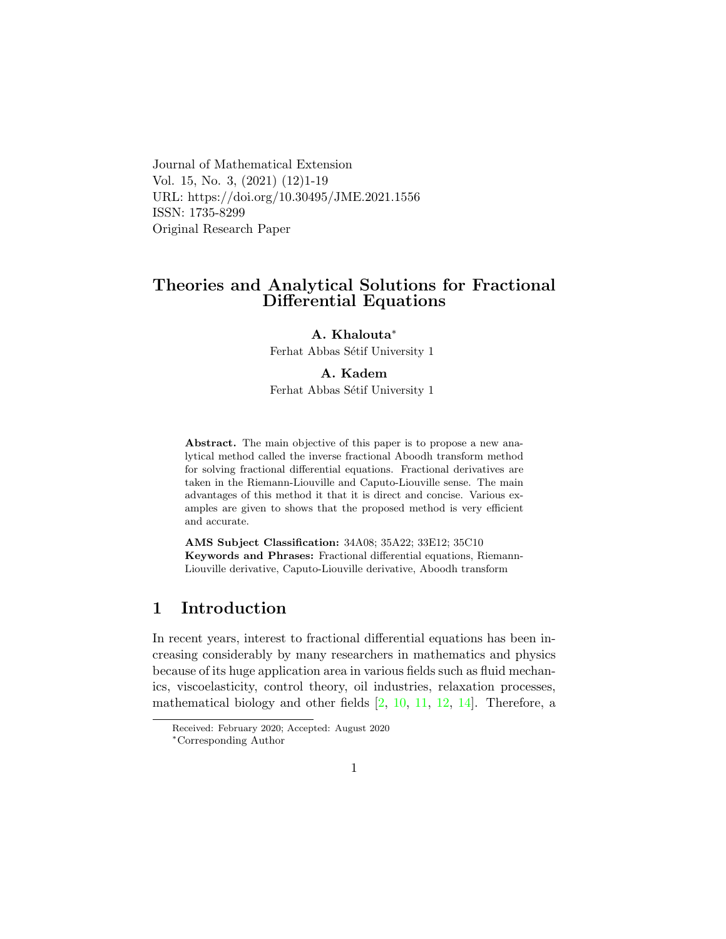Journal of Mathematical Extension Vol. 15, No. 3, (2021) (12)1-19 URL: https://doi.org/10.30495/JME.2021.1556 ISSN: 1735-8299 Original Research Paper

## Theories and Analytical Solutions for Fractional Differential Equations

A. Khalouta<sup>∗</sup>

Ferhat Abbas Sétif University 1

### A. Kade[m](#page-0-0)

Ferhat Abbas Sétif University 1

Abstract. The main objective of this paper is to propose a new analytical method called the inverse fractional Aboodh transform method for solving fractional differential equations. Fractional derivatives are taken in the Riemann-Liouville and Caputo-Liouville sense. The main advantages of this method it that it is direct and concise. Various examples are given to shows that the proposed method is very efficient and accurate.

AMS Subject Classification: 34A08; 35A22; 33E12; 35C10 Keywords and Phrases: Fractional differential equations, Riemann-Liouville derivative, Caputo-Liouville derivative, Aboodh transform

# 1 Introduction

In recent years, interest to fractional differential equations has been increasing considerably by many researchers in mathematics and physics because of its huge application area in various fields such as fluid mechanics, viscoelasticity, control theory, oil industries, relaxation processes, mathematical biology and other fields [\[2,](#page-16-0) [10,](#page-16-1) [11,](#page-17-0) [12,](#page-17-1) [14\]](#page-17-2). Therefore, a

Received: February 2020; Accepted: August 2020

<span id="page-0-0"></span><sup>∗</sup>Corresponding Author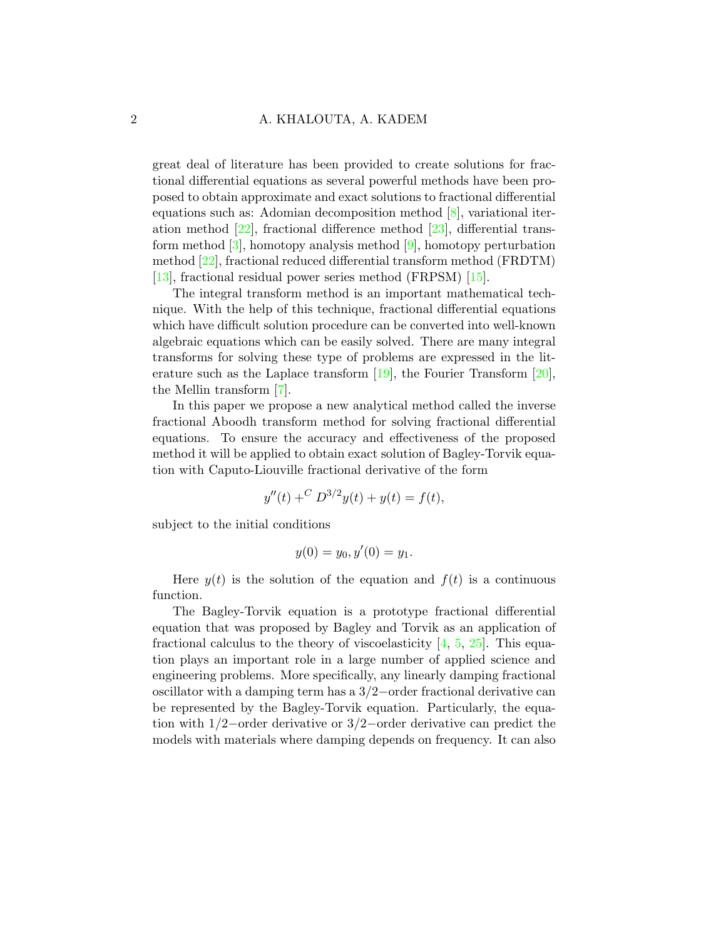great deal of literature has been provided to create solutions for fractional differential equations as several powerful methods have been proposed to obtain approximate and exact solutions to fractional differential equations such as: Adomian decomposition method [\[8\]](#page-16-2), variational iteration method [\[22\]](#page-18-0), fractional difference method [\[23\]](#page-18-1), differential transform method [\[3\]](#page-16-3), homotopy analysis method [\[9\]](#page-16-4), homotopy perturbation method [\[22\]](#page-18-0), fractional reduced differential transform method (FRDTM) [\[13\]](#page-17-3), fractional residual power series method (FRPSM) [\[15\]](#page-17-4).

The integral transform method is an important mathematical technique. With the help of this technique, fractional differential equations which have difficult solution procedure can be converted into well-known algebraic equations which can be easily solved. There are many integral transforms for solving these type of problems are expressed in the literature such as the Laplace transform  $[19]$ , the Fourier Transform  $[20]$ , the Mellin transform [\[7\]](#page-16-5).

In this paper we propose a new analytical method called the inverse fractional Aboodh transform method for solving fractional differential equations. To ensure the accuracy and effectiveness of the proposed method it will be applied to obtain exact solution of Bagley-Torvik equation with Caputo-Liouville fractional derivative of the form

$$
y''(t) + C D^{3/2}y(t) + y(t) = f(t),
$$

subject to the initial conditions

$$
y(0) = y_0, y'(0) = y_1.
$$

Here  $y(t)$  is the solution of the equation and  $f(t)$  is a continuous function.

The Bagley-Torvik equation is a prototype fractional differential equation that was proposed by Bagley and Torvik as an application of fractional calculus to the theory of viscoelasticity  $[4, 5, 25]$  $[4, 5, 25]$  $[4, 5, 25]$  $[4, 5, 25]$ . This equation plays an important role in a large number of applied science and engineering problems. More specifically, any linearly damping fractional oscillator with a damping term has a 3/2−order fractional derivative can be represented by the Bagley-Torvik equation. Particularly, the equation with 1/2−order derivative or 3/2−order derivative can predict the models with materials where damping depends on frequency. It can also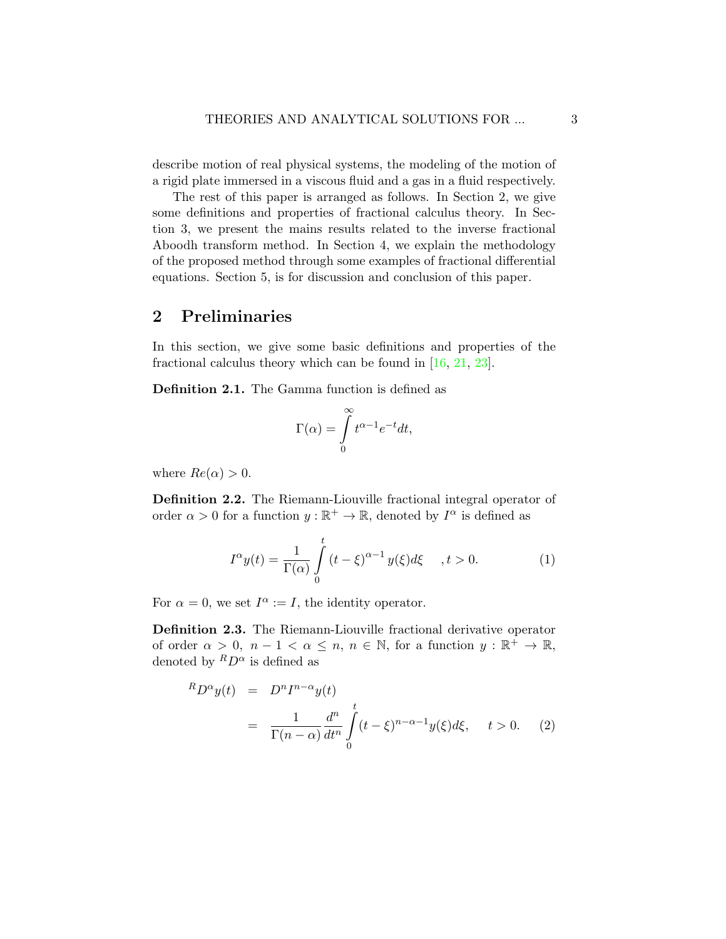describe motion of real physical systems, the modeling of the motion of a rigid plate immersed in a viscous fluid and a gas in a fluid respectively.

The rest of this paper is arranged as follows. In Section 2, we give some definitions and properties of fractional calculus theory. In Section 3, we present the mains results related to the inverse fractional Aboodh transform method. In Section 4, we explain the methodology of the proposed method through some examples of fractional differential equations. Section 5, is for discussion and conclusion of this paper.

# 2 Preliminaries

In this section, we give some basic definitions and properties of the fractional calculus theory which can be found in [\[16,](#page-17-7) [21,](#page-18-3) [23\]](#page-18-1).

Definition 2.1. The Gamma function is defined as

$$
\Gamma(\alpha) = \int_{0}^{\infty} t^{\alpha - 1} e^{-t} dt,
$$

where  $Re(\alpha) > 0$ .

Definition 2.2. The Riemann-Liouville fractional integral operator of order  $\alpha > 0$  for a function  $y : \mathbb{R}^+ \to \mathbb{R}$ , denoted by  $I^{\alpha}$  is defined as

<span id="page-2-0"></span>
$$
I^{\alpha}y(t) = \frac{1}{\Gamma(\alpha)} \int_{0}^{t} (t - \xi)^{\alpha - 1} y(\xi) d\xi \quad , t > 0.
$$
 (1)

For  $\alpha = 0$ , we set  $I^{\alpha} := I$ , the identity operator.

Definition 2.3. The Riemann-Liouville fractional derivative operator of order  $\alpha > 0$ ,  $n - 1 < \alpha \leq n$ ,  $n \in \mathbb{N}$ , for a function  $y : \mathbb{R}^+ \to \mathbb{R}$ , denoted by  ${}^R D^{\alpha}$  is defined as

<span id="page-2-1"></span>
$$
{}^{R}D^{\alpha}y(t) = D^{n}I^{n-\alpha}y(t)
$$
  
= 
$$
\frac{1}{\Gamma(n-\alpha)}\frac{d^{n}}{dt^{n}}\int_{0}^{t} (t-\xi)^{n-\alpha-1}y(\xi)d\xi, \quad t > 0.
$$
 (2)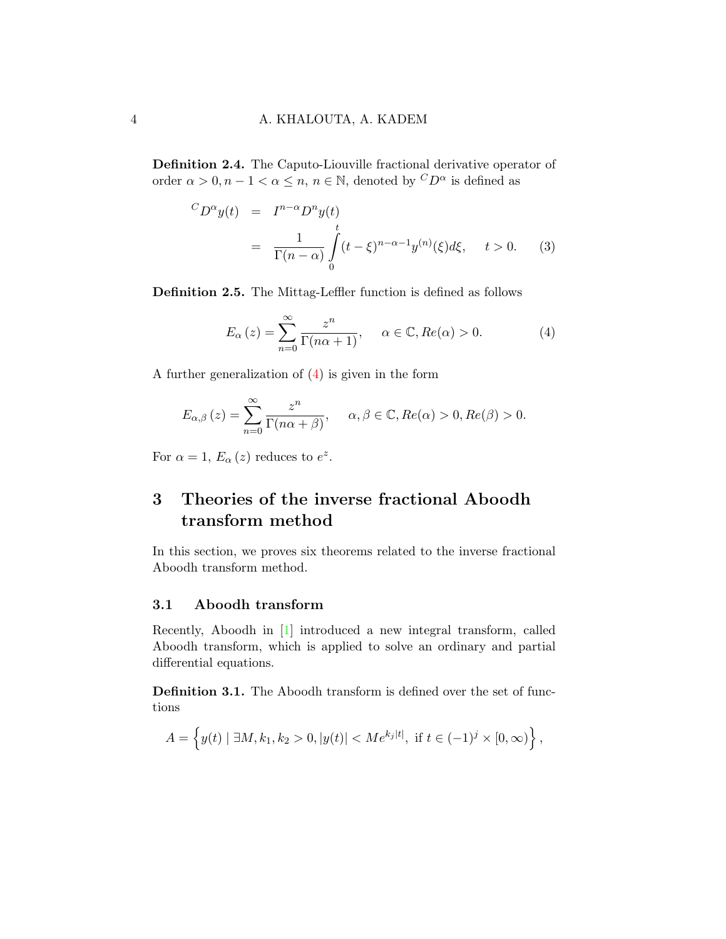Definition 2.4. The Caputo-Liouville fractional derivative operator of order  $\alpha > 0, n - 1 < \alpha \leq n, n \in \mathbb{N}$ , denoted by  ${}^C D^{\alpha}$  is defined as

<span id="page-3-1"></span>
$$
{}^{C}D^{\alpha}y(t) = I^{n-\alpha}D^{n}y(t)
$$
  
= 
$$
\frac{1}{\Gamma(n-\alpha)} \int_{0}^{t} (t-\xi)^{n-\alpha-1}y^{(n)}(\xi)d\xi, \quad t > 0.
$$
 (3)

Definition 2.5. The Mittag-Leffler function is defined as follows

<span id="page-3-0"></span>
$$
E_{\alpha}(z) = \sum_{n=0}^{\infty} \frac{z^n}{\Gamma(n\alpha + 1)}, \quad \alpha \in \mathbb{C}, Re(\alpha) > 0.
$$
 (4)

A further generalization of [\(4\)](#page-3-0) is given in the form

$$
E_{\alpha,\beta}(z) = \sum_{n=0}^{\infty} \frac{z^n}{\Gamma(n\alpha + \beta)}, \quad \alpha, \beta \in \mathbb{C}, Re(\alpha) > 0, Re(\beta) > 0.
$$

For  $\alpha = 1$ ,  $E_{\alpha}(z)$  reduces to  $e^{z}$ .

# 3 Theories of the inverse fractional Aboodh transform method

In this section, we proves six theorems related to the inverse fractional Aboodh transform method.

#### 3.1 Aboodh transform

Recently, Aboodh in [\[1\]](#page-16-8) introduced a new integral transform, called Aboodh transform, which is applied to solve an ordinary and partial differential equations.

Definition 3.1. The Aboodh transform is defined over the set of functions

$$
A = \left\{ y(t) \mid \exists M, k_1, k_2 > 0, |y(t)| < Me^{k_j|t|}, \text{ if } t \in (-1)^j \times [0, \infty) \right\},
$$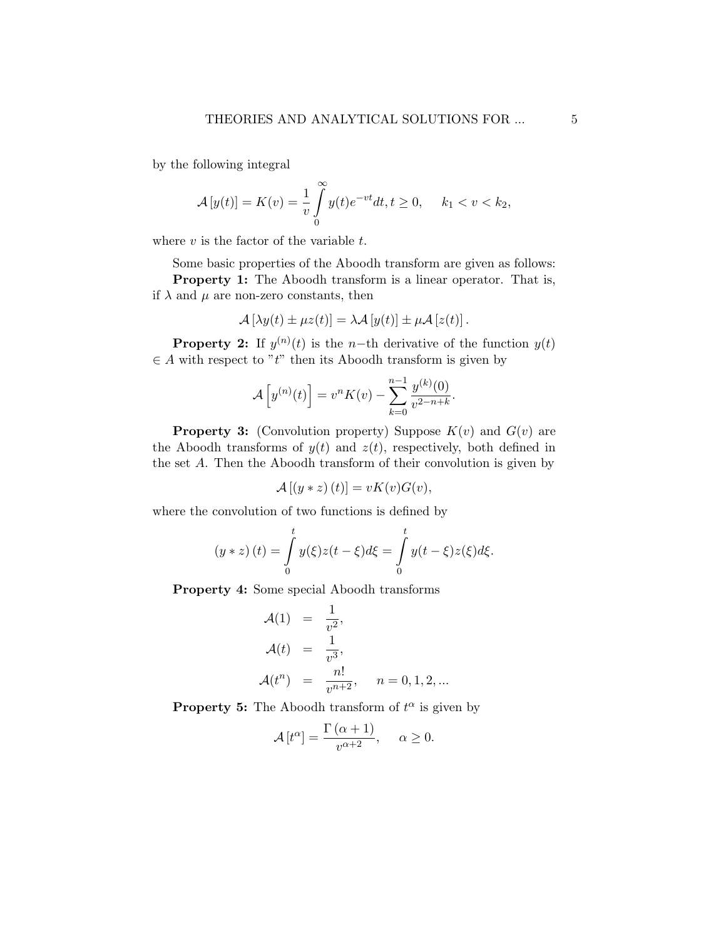by the following integral

$$
\mathcal{A}[y(t)] = K(v) = \frac{1}{v} \int_{0}^{\infty} y(t)e^{-vt}dt, t \ge 0, \quad k_1 < v < k_2,
$$

where  $v$  is the factor of the variable  $t$ .

Some basic properties of the Aboodh transform are given as follows: Property 1: The Aboodh transform is a linear operator. That is, if  $\lambda$  and  $\mu$  are non-zero constants, then

$$
\mathcal{A}\left[\lambda y(t) \pm \mu z(t)\right] = \lambda \mathcal{A}\left[y(t)\right] \pm \mu \mathcal{A}\left[z(t)\right].
$$

**Property 2:** If  $y^{(n)}(t)$  is the n-th derivative of the function  $y(t)$  $\in$  A with respect to "t" then its Aboodh transform is given by

$$
\mathcal{A}\left[y^{(n)}(t)\right] = v^n K(v) - \sum_{k=0}^{n-1} \frac{y^{(k)}(0)}{v^{2-n+k}}.
$$

**Property 3:** (Convolution property) Suppose  $K(v)$  and  $G(v)$  are the Aboodh transforms of  $y(t)$  and  $z(t)$ , respectively, both defined in the set A. Then the Aboodh transform of their convolution is given by

$$
\mathcal{A}[(y * z)(t)] = vK(v)G(v),
$$

where the convolution of two functions is defined by

$$
(y * z) (t) = \int_{0}^{t} y(\xi)z(t - \xi)d\xi = \int_{0}^{t} y(t - \xi)z(\xi)d\xi.
$$

Property 4: Some special Aboodh transforms

$$
\mathcal{A}(1) = \frac{1}{v^2},
$$
  
\n
$$
\mathcal{A}(t) = \frac{1}{v^3},
$$
  
\n
$$
\mathcal{A}(t^n) = \frac{n!}{v^{n+2}}, \quad n = 0, 1, 2, ...
$$

**Property 5:** The Aboodh transform of  $t^{\alpha}$  is given by

$$
\mathcal{A}[t^{\alpha}] = \frac{\Gamma(\alpha+1)}{v^{\alpha+2}}, \quad \alpha \ge 0.
$$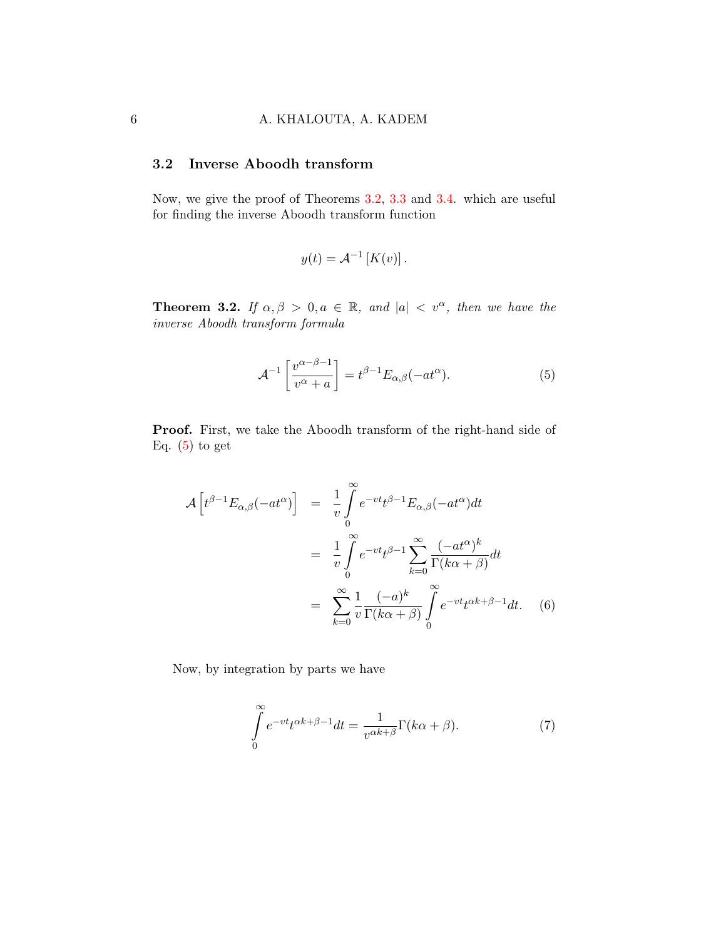### 3.2 Inverse Aboodh transform

Now, we give the proof of Theorems [3.2,](#page-5-0) [3.3](#page-6-0) and [3.4.](#page-7-0) which are useful for finding the inverse Aboodh transform function

$$
y(t) = \mathcal{A}^{-1}[K(v)].
$$

<span id="page-5-0"></span>**Theorem 3.2.** If  $\alpha, \beta > 0, a \in \mathbb{R}$ , and  $|a| < v^{\alpha}$ , then we have the inverse Aboodh transform formula

<span id="page-5-1"></span>
$$
\mathcal{A}^{-1}\left[\frac{v^{\alpha-\beta-1}}{v^{\alpha}+a}\right] = t^{\beta-1}E_{\alpha,\beta}(-at^{\alpha}).\tag{5}
$$

Proof. First, we take the Aboodh transform of the right-hand side of Eq.  $(5)$  to get

<span id="page-5-3"></span>
$$
\mathcal{A}\left[t^{\beta-1}E_{\alpha,\beta}(-at^{\alpha})\right] = \frac{1}{v}\int_{0}^{\infty}e^{-vt}t^{\beta-1}E_{\alpha,\beta}(-at^{\alpha})dt
$$

$$
= \frac{1}{v}\int_{0}^{\infty}e^{-vt}t^{\beta-1}\sum_{k=0}^{\infty}\frac{(-at^{\alpha})^{k}}{\Gamma(k\alpha+\beta)}dt
$$

$$
= \sum_{k=0}^{\infty}\frac{1}{v}\frac{(-a)^{k}}{\Gamma(k\alpha+\beta)}\int_{0}^{\infty}e^{-vt}t^{\alpha k+\beta-1}dt. \quad (6)
$$

Now, by integration by parts we have

<span id="page-5-2"></span>
$$
\int_{0}^{\infty} e^{-vt} t^{\alpha k + \beta - 1} dt = \frac{1}{v^{\alpha k + \beta}} \Gamma(k\alpha + \beta).
$$
 (7)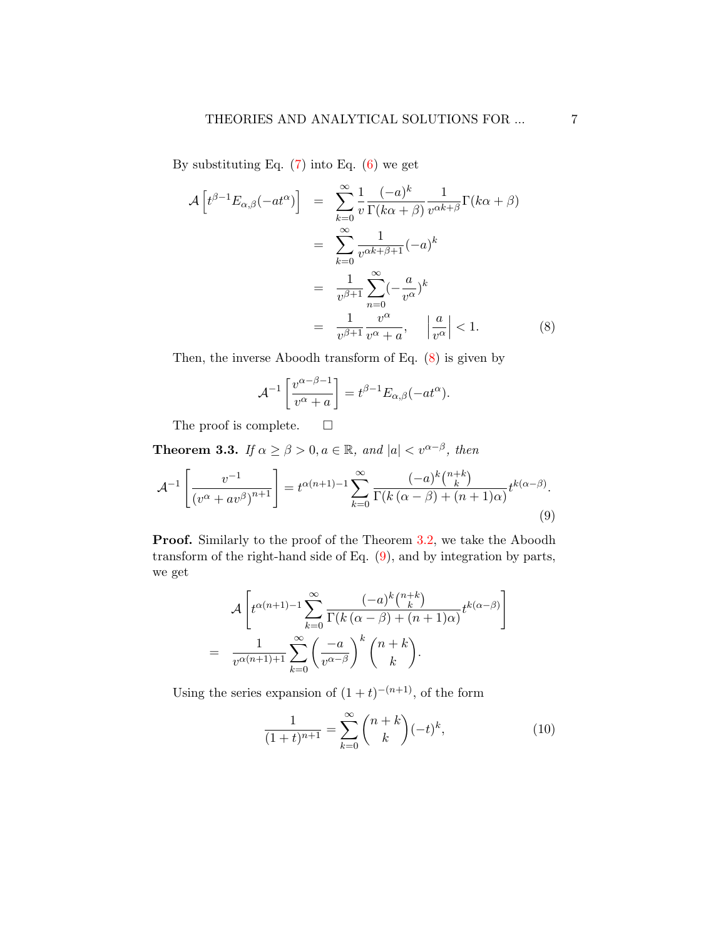By substituting Eq.  $(7)$  into Eq.  $(6)$  we get

<span id="page-6-1"></span>
$$
\mathcal{A}\left[t^{\beta-1}E_{\alpha,\beta}(-at^{\alpha})\right] = \sum_{k=0}^{\infty} \frac{1}{v} \frac{(-a)^k}{\Gamma(k\alpha+\beta)} \frac{1}{v^{\alpha k+\beta}} \Gamma(k\alpha+\beta)
$$

$$
= \sum_{k=0}^{\infty} \frac{1}{v^{\alpha k+\beta+1}} (-a)^k
$$

$$
= \frac{1}{v^{\beta+1}} \sum_{n=0}^{\infty} (-\frac{a}{v^{\alpha}})^k
$$

$$
= \frac{1}{v^{\beta+1}} \frac{v^{\alpha}}{v^{\alpha}+a}, \quad \left|\frac{a}{v^{\alpha}}\right| < 1. \tag{8}
$$

Then, the inverse Aboodh transform of Eq. [\(8\)](#page-6-1) is given by

$$
\mathcal{A}^{-1}\left[\frac{v^{\alpha-\beta-1}}{v^{\alpha}+a}\right] = t^{\beta-1}E_{\alpha,\beta}(-at^{\alpha}).
$$

The proof is complete.  $\square$ 

<span id="page-6-0"></span>**Theorem 3.3.** If  $\alpha \ge \beta > 0, a \in \mathbb{R}$ , and  $|a| < v^{\alpha-\beta}$ , then

<span id="page-6-2"></span>
$$
\mathcal{A}^{-1}\left[\frac{v^{-1}}{\left(v^{\alpha}+av^{\beta}\right)^{n+1}}\right] = t^{\alpha(n+1)-1} \sum_{k=0}^{\infty} \frac{(-a)^k \binom{n+k}{k}}{\Gamma(k\left(\alpha-\beta\right)+(n+1)\alpha)} t^{k(\alpha-\beta)}.
$$
\n(9)

**Proof.** Similarly to the proof of the Theorem [3.2,](#page-5-0) we take the Aboodh transform of the right-hand side of Eq. [\(9\)](#page-6-2), and by integration by parts, we get

$$
\mathcal{A}\left[t^{\alpha(n+1)-1}\sum_{k=0}^{\infty}\frac{(-a)^k\binom{n+k}{k}}{\Gamma(k\left(\alpha-\beta\right)+(n+1)\alpha)}t^{k(\alpha-\beta)}\right]
$$

$$
=\frac{1}{v^{\alpha(n+1)+1}}\sum_{k=0}^{\infty}\left(\frac{-a}{v^{\alpha-\beta}}\right)^k\binom{n+k}{k}.
$$

Using the series expansion of  $(1 + t)^{-(n+1)}$ , of the form

<span id="page-6-3"></span>
$$
\frac{1}{(1+t)^{n+1}} = \sum_{k=0}^{\infty} \binom{n+k}{k} (-t)^k,
$$
\n(10)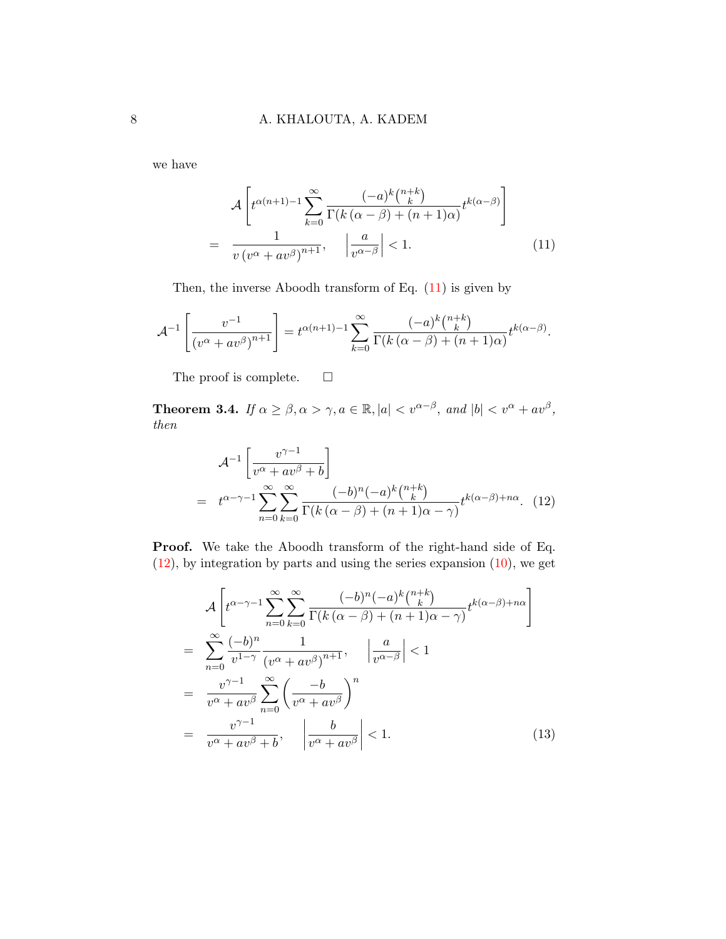we have

<span id="page-7-1"></span>
$$
\mathcal{A}\left[t^{\alpha(n+1)-1}\sum_{k=0}^{\infty}\frac{(-a)^k\binom{n+k}{k}}{\Gamma(k\left(\alpha-\beta\right)+(n+1)\alpha)}t^{k\left(\alpha-\beta\right)}\right]
$$
\n
$$
=\frac{1}{v\left(v^{\alpha}+av^{\beta}\right)^{n+1}},\quad\left|\frac{a}{v^{\alpha-\beta}}\right|<1.\tag{11}
$$

Then, the inverse Aboodh transform of Eq.  $(11)$  is given by

$$
\mathcal{A}^{-1}\left[\frac{v^{-1}}{\left(v^{\alpha}+av^{\beta}\right)^{n+1}}\right] = t^{\alpha(n+1)-1} \sum_{k=0}^{\infty} \frac{(-a)^k \binom{n+k}{k}}{\Gamma(k\left(\alpha-\beta\right)+(n+1)\alpha)} t^{k\left(\alpha-\beta\right)}.
$$

The proof is complete.  $\Box$ 

<span id="page-7-0"></span>**Theorem 3.4.** If  $\alpha \ge \beta, \alpha > \gamma, a \in \mathbb{R}, |\alpha| < v^{\alpha-\beta}$ , and  $|b| < v^{\alpha} + av^{\beta}$ , then

<span id="page-7-2"></span>
$$
\mathcal{A}^{-1} \left[ \frac{v^{\gamma - 1}}{v^{\alpha} + av^{\beta} + b} \right]
$$
  
=  $t^{\alpha - \gamma - 1} \sum_{n=0}^{\infty} \sum_{k=0}^{\infty} \frac{(-b)^n (-a)^k \binom{n+k}{k}}{\Gamma(k(\alpha - \beta) + (n+1)\alpha - \gamma)} t^{k(\alpha - \beta) + n\alpha}.$  (12)

Proof. We take the Aboodh transform of the right-hand side of Eq.  $(12)$ , by integration by parts and using the series expansion  $(10)$ , we get

<span id="page-7-3"></span>
$$
\mathcal{A}\left[t^{\alpha-\gamma-1}\sum_{n=0}^{\infty}\sum_{k=0}^{\infty}\frac{(-b)^{n}(-a)^{k}\binom{n+k}{k}}{\Gamma(k(\alpha-\beta)+(n+1)\alpha-\gamma)}t^{k(\alpha-\beta)+n\alpha}\right]
$$
\n
$$
=\sum_{n=0}^{\infty}\frac{(-b)^{n}}{v^{1-\gamma}}\frac{1}{(v^{\alpha}+av^{\beta})^{n+1}}, \quad \left|\frac{a}{v^{\alpha-\beta}}\right|<1
$$
\n
$$
=\frac{v^{\gamma-1}}{v^{\alpha}+av^{\beta}}\sum_{n=0}^{\infty}\left(\frac{-b}{v^{\alpha}+av^{\beta}}\right)^{n}
$$
\n
$$
=\frac{v^{\gamma-1}}{v^{\alpha}+av^{\beta}+b}, \quad \left|\frac{b}{v^{\alpha}+av^{\beta}}\right|<1.
$$
\n(13)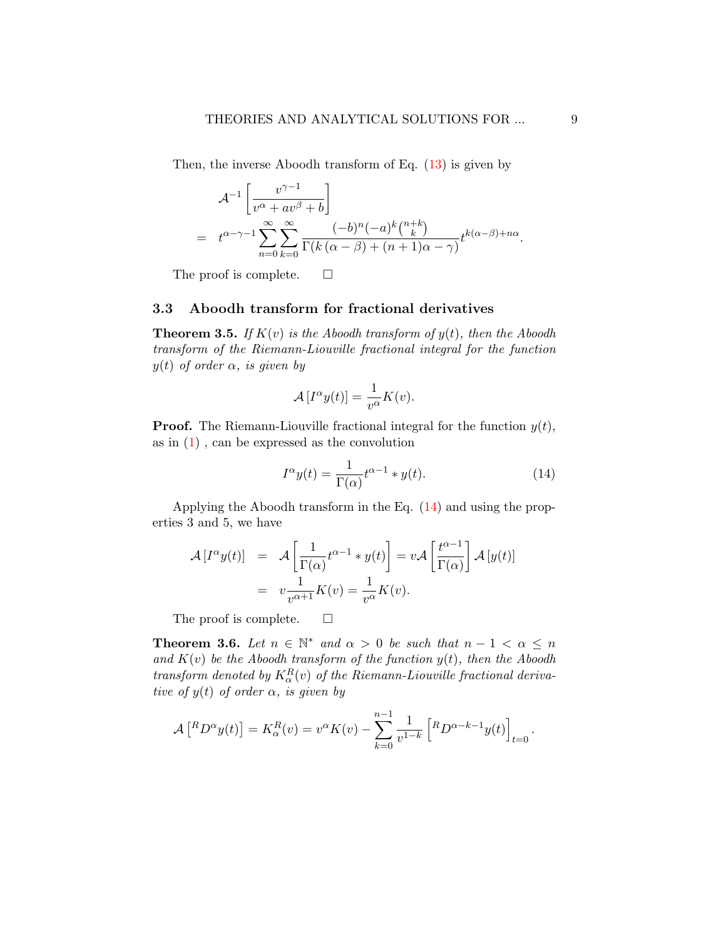Then, the inverse Aboodh transform of Eq. [\(13\)](#page-7-3) is given by

$$
\mathcal{A}^{-1} \left[ \frac{v^{\gamma - 1}}{v^{\alpha} + av^{\beta} + b} \right]
$$
  
=  $t^{\alpha - \gamma - 1} \sum_{n=0}^{\infty} \sum_{k=0}^{\infty} \frac{(-b)^n (-a)^k \binom{n+k}{k}}{\Gamma(k (\alpha - \beta) + (n+1)\alpha - \gamma)} t^{k(\alpha - \beta) + n\alpha}.$ 

The proof is complete.  $\square$ 

### 3.3 Aboodh transform for fractional derivatives

<span id="page-8-1"></span>**Theorem 3.5.** If  $K(v)$  is the Aboodh transform of  $y(t)$ , then the Aboodh transform of the Riemann-Liouville fractional integral for the function  $y(t)$  of order  $\alpha$ , is given by

$$
\mathcal{A}\left[I^{\alpha}y(t)\right] = \frac{1}{v^{\alpha}}K(v).
$$

**Proof.** The Riemann-Liouville fractional integral for the function  $y(t)$ , as in  $(1)$ , can be expressed as the convolution

<span id="page-8-0"></span>
$$
I^{\alpha}y(t) = \frac{1}{\Gamma(\alpha)}t^{\alpha-1} * y(t).
$$
 (14)

Applying the Aboodh transform in the Eq. [\(14\)](#page-8-0) and using the properties 3 and 5, we have

$$
\mathcal{A}[I^{\alpha}y(t)] = \mathcal{A}\left[\frac{1}{\Gamma(\alpha)}t^{\alpha-1} * y(t)\right] = v\mathcal{A}\left[\frac{t^{\alpha-1}}{\Gamma(\alpha)}\right]\mathcal{A}[y(t)]
$$

$$
= v\frac{1}{v^{\alpha+1}}K(v) = \frac{1}{v^{\alpha}}K(v).
$$

The proof is complete.  $\square$ 

<span id="page-8-2"></span>**Theorem 3.6.** Let  $n \in \mathbb{N}^*$  and  $\alpha > 0$  be such that  $n - 1 < \alpha \leq n$ and  $K(v)$  be the Aboodh transform of the function  $y(t)$ , then the Aboodh transform denoted by  $K_{\alpha}^{R}(v)$  of the Riemann-Liouville fractional derivative of  $y(t)$  of order  $\alpha$ , is given by

$$
\mathcal{A}\left[{}^{R}D^{\alpha}y(t)\right] = K_{\alpha}^{R}(v) = v^{\alpha}K(v) - \sum_{k=0}^{n-1} \frac{1}{v^{1-k}} \left[{}^{R}D^{\alpha-k-1}y(t)\right]_{t=0}.
$$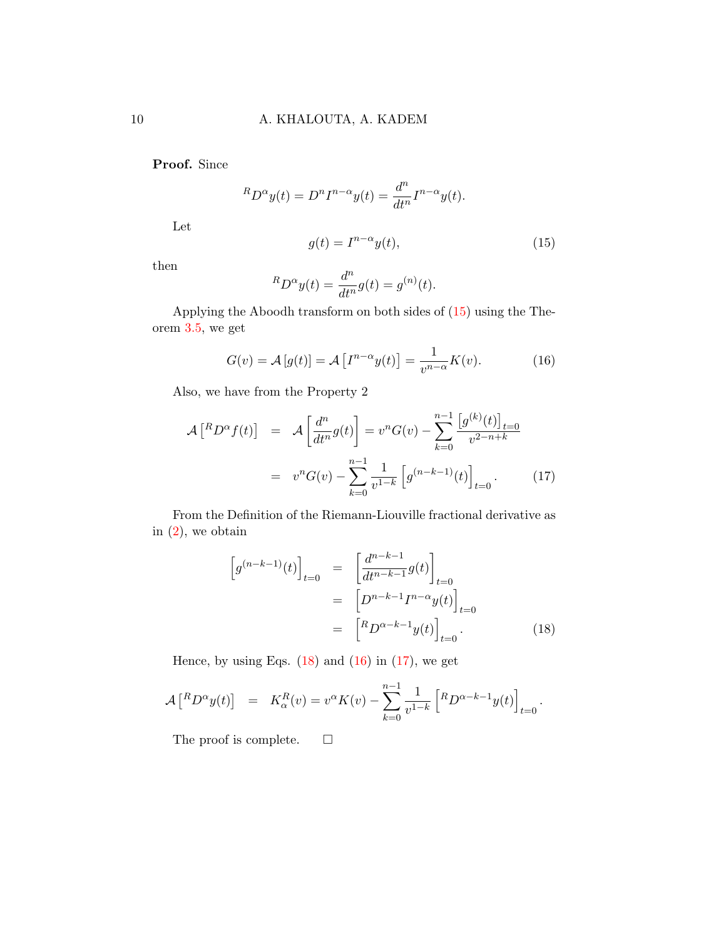Proof. Since

$$
{}^{R}D^{\alpha}y(t) = D^{n}I^{n-\alpha}y(t) = \frac{d^{n}}{dt^{n}}I^{n-\alpha}y(t).
$$

Let

<span id="page-9-0"></span>
$$
g(t) = I^{n-\alpha}y(t),
$$
\n(15)

then

$$
{}^{R}D^{\alpha}y(t) = \frac{d^{n}}{dt^{n}}g(t) = g^{(n)}(t).
$$

Applying the Aboodh transform on both sides of [\(15\)](#page-9-0) using the Theorem [3.5,](#page-8-1) we get

<span id="page-9-2"></span>
$$
G(v) = \mathcal{A}[g(t)] = \mathcal{A}[I^{n-\alpha}y(t)] = \frac{1}{v^{n-\alpha}}K(v).
$$
 (16)

Also, we have from the Property 2

<span id="page-9-3"></span>
$$
\mathcal{A}\begin{bmatrix} ^R D^{\alpha} f(t) \end{bmatrix} = \mathcal{A}\begin{bmatrix} \frac{d^n}{dt^n} g(t) \end{bmatrix} = v^n G(v) - \sum_{k=0}^{n-1} \frac{[g^{(k)}(t)]_{t=0}}{v^{2-n+k}}
$$

$$
= v^n G(v) - \sum_{k=0}^{n-1} \frac{1}{v^{1-k}} \left[ g^{(n-k-1)}(t) \right]_{t=0} . \tag{17}
$$

From the Definition of the Riemann-Liouville fractional derivative as in  $(2)$ , we obtain

<span id="page-9-1"></span>
$$
\[g^{(n-k-1)}(t)\]_{t=0} = \left[\frac{d^{n-k-1}}{dt^{n-k-1}}g(t)\right]_{t=0}
$$

$$
= \left[D^{n-k-1}I^{n-\alpha}y(t)\right]_{t=0}
$$

$$
= \left[RD^{\alpha-k-1}y(t)\right]_{t=0}.
$$
(18)

Hence, by using Eqs.  $(18)$  and  $(16)$  in  $(17)$ , we get

$$
\mathcal{A}\left[{}^{R}D^{\alpha}y(t)\right] = K_{\alpha}^{R}(v) = v^{\alpha}K(v) - \sum_{k=0}^{n-1} \frac{1}{v^{1-k}} \left[{}^{R}D^{\alpha-k-1}y(t)\right]_{t=0}.
$$

The proof is complete.  $\square$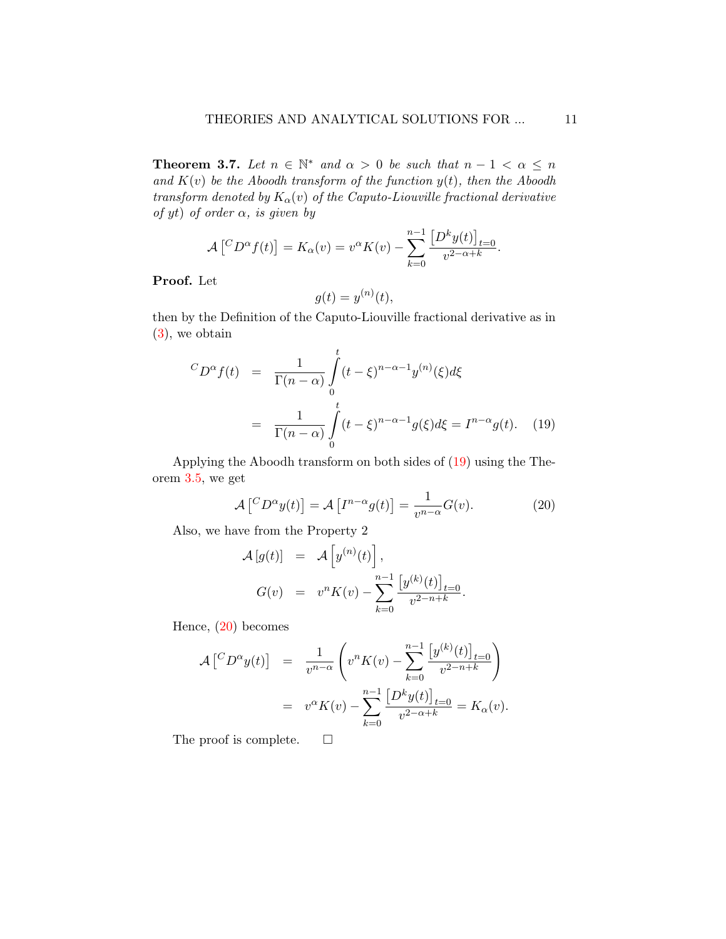<span id="page-10-2"></span>**Theorem 3.7.** Let  $n \in \mathbb{N}^*$  and  $\alpha > 0$  be such that  $n - 1 < \alpha \leq n$ and  $K(v)$  be the Aboodh transform of the function  $y(t)$ , then the Aboodh transform denoted by  $K_{\alpha}(v)$  of the Caputo-Liouville fractional derivative of yt) of order  $\alpha$ , is given by

$$
\mathcal{A}\left[{}^{C}D^{\alpha}f(t)\right] = K_{\alpha}(v) = v^{\alpha}K(v) - \sum_{k=0}^{n-1} \frac{\left[D^{k}y(t)\right]_{t=0}}{v^{2-\alpha+k}}.
$$

Proof. Let

$$
g(t) = y^{(n)}(t),
$$

then by the Definition of the Caputo-Liouville fractional derivative as in [\(3\)](#page-3-1), we obtain

<span id="page-10-0"></span>
$$
{}^{C}D^{\alpha}f(t) = \frac{1}{\Gamma(n-\alpha)} \int_{0}^{t} (t-\xi)^{n-\alpha-1} y^{(n)}(\xi) d\xi
$$

$$
= \frac{1}{\Gamma(n-\alpha)} \int_{0}^{t} (t-\xi)^{n-\alpha-1} g(\xi) d\xi = I^{n-\alpha}g(t). \quad (19)
$$

Applying the Aboodh transform on both sides of [\(19\)](#page-10-0) using the Theorem [3.5,](#page-8-1) we get

<span id="page-10-1"></span>
$$
\mathcal{A}\left[{}^{C}D^{\alpha}y(t)\right] = \mathcal{A}\left[I^{n-\alpha}g(t)\right] = \frac{1}{v^{n-\alpha}}G(v). \tag{20}
$$

Also, we have from the Property 2

$$
\mathcal{A}[g(t)] = \mathcal{A}[y^{(n)}(t)],
$$
  
\n
$$
G(v) = v^{n} K(v) - \sum_{k=0}^{n-1} \frac{[y^{(k)}(t)]_{t=0}}{v^{2-n+k}}.
$$

Hence, [\(20\)](#page-10-1) becomes

$$
\mathcal{A}\begin{bmatrix} ^C D^{\alpha} y(t) \end{bmatrix} = \frac{1}{v^{n-\alpha}} \left( v^n K(v) - \sum_{k=0}^{n-1} \frac{\left[ y^{(k)}(t) \right]_{t=0}}{v^{2-n+k}} \right)
$$
  
= 
$$
v^{\alpha} K(v) - \sum_{k=0}^{n-1} \frac{\left[ D^k y(t) \right]_{t=0}}{v^{2-\alpha+k}} = K_{\alpha}(v).
$$

The proof is complete.  $\square$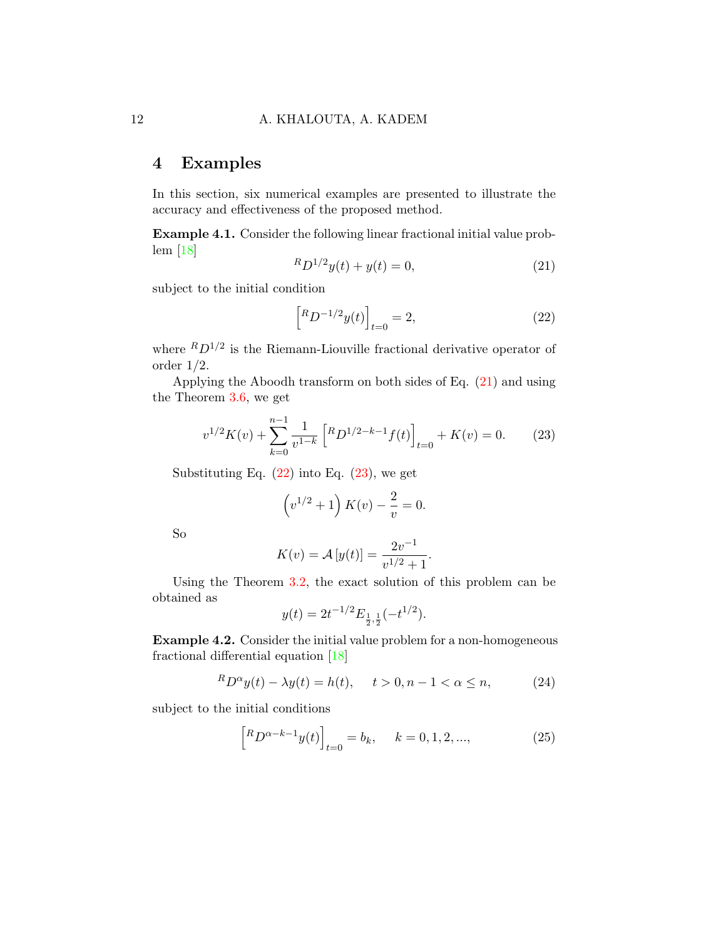# 4 Examples

In this section, six numerical examples are presented to illustrate the accuracy and effectiveness of the proposed method.

Example 4.1. Consider the following linear fractional initial value problem [\[18\]](#page-17-8)

<span id="page-11-0"></span>
$$
{}^{R}D^{1/2}y(t) + y(t) = 0,
$$
\n(21)

subject to the initial condition

<span id="page-11-1"></span>
$$
\[R_{D^{-1/2}y(t)}\]_{t=0} = 2,\tag{22}
$$

where  ${}^R D^{1/2}$  is the Riemann-Liouville fractional derivative operator of order 1/2.

Applying the Aboodh transform on both sides of Eq. [\(21\)](#page-11-0) and using the Theorem [3.6,](#page-8-2) we get

<span id="page-11-2"></span>
$$
v^{1/2}K(v) + \sum_{k=0}^{n-1} \frac{1}{v^{1-k}} \left[ {^R}D^{1/2-k-1}f(t) \right]_{t=0} + K(v) = 0.
$$
 (23)

Substituting Eq.  $(22)$  into Eq.  $(23)$ , we get

$$
(v^{1/2} + 1) K(v) - \frac{2}{v} = 0.
$$

So

$$
K(v) = \mathcal{A}[y(t)] = \frac{2v^{-1}}{v^{1/2} + 1}.
$$

Using the Theorem [3.2,](#page-5-0) the exact solution of this problem can be obtained as

$$
y(t) = 2t^{-1/2} E_{\frac{1}{2},\frac{1}{2}}(-t^{1/2}).
$$

Example 4.2. Consider the initial value problem for a non-homogeneous fractional differential equation [\[18\]](#page-17-8)

<span id="page-11-3"></span>
$$
{}^{R}D^{\alpha}y(t) - \lambda y(t) = h(t), \quad t > 0, n - 1 < \alpha \le n,
$$
 (24)

subject to the initial conditions

<span id="page-11-4"></span>
$$
\[R D^{\alpha-k-1} y(t)\]_{t=0} = b_k, \quad k = 0, 1, 2, ..., \tag{25}
$$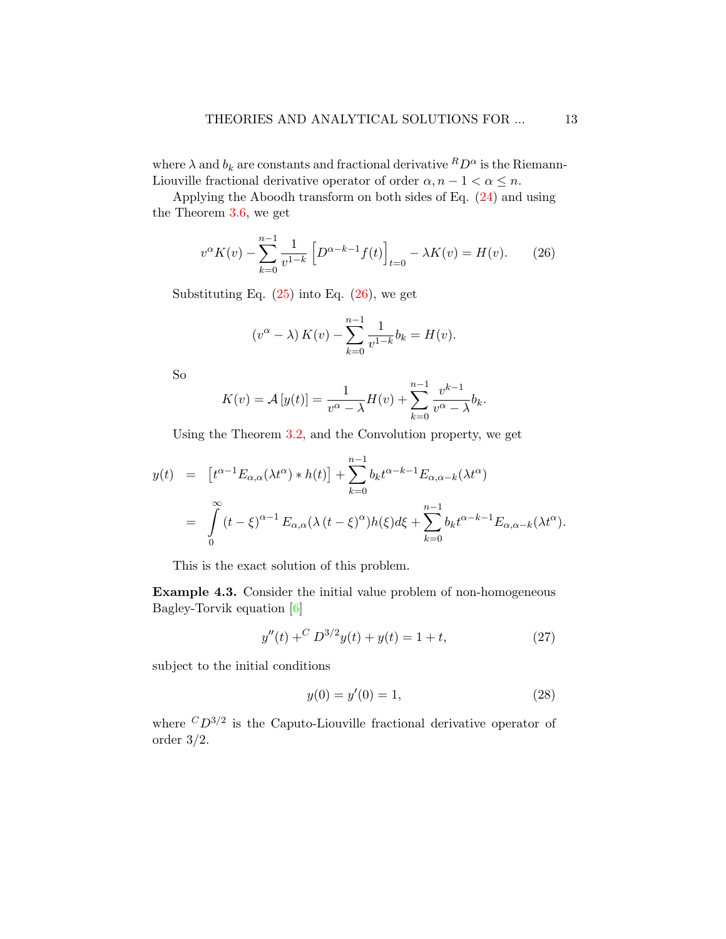where  $\lambda$  and  $b_k$  are constants and fractional derivative  ${}^R D^{\alpha}$  is the Riemann-Liouville fractional derivative operator of order  $\alpha, n - 1 < \alpha \leq n$ .

Applying the Aboodh transform on both sides of Eq. [\(24\)](#page-11-3) and using the Theorem [3.6,](#page-8-2) we get

<span id="page-12-0"></span>
$$
v^{\alpha}K(v) - \sum_{k=0}^{n-1} \frac{1}{v^{1-k}} \left[ D^{\alpha-k-1}f(t) \right]_{t=0} - \lambda K(v) = H(v). \tag{26}
$$

Substituting Eq.  $(25)$  into Eq.  $(26)$ , we get

$$
(v^{\alpha} - \lambda) K(v) - \sum_{k=0}^{n-1} \frac{1}{v^{1-k}} b_k = H(v).
$$

So

$$
K(v) = \mathcal{A}[y(t)] = \frac{1}{v^{\alpha} - \lambda}H(v) + \sum_{k=0}^{n-1} \frac{v^{k-1}}{v^{\alpha} - \lambda}b_k.
$$

Using the Theorem [3.2,](#page-5-0) and the Convolution property, we get

$$
y(t) = [t^{\alpha-1}E_{\alpha,\alpha}(\lambda t^{\alpha}) * h(t)] + \sum_{k=0}^{n-1} b_k t^{\alpha-k-1} E_{\alpha,\alpha-k}(\lambda t^{\alpha})
$$
  

$$
= \int_{0}^{\infty} (t-\xi)^{\alpha-1} E_{\alpha,\alpha}(\lambda (t-\xi)^{\alpha}) h(\xi) d\xi + \sum_{k=0}^{n-1} b_k t^{\alpha-k-1} E_{\alpha,\alpha-k}(\lambda t^{\alpha}).
$$

This is the exact solution of this problem.

Example 4.3. Consider the initial value problem of non-homogeneous Bagley-Torvik equation [\[6\]](#page-16-9)

<span id="page-12-1"></span>
$$
y''(t) + C D^{3/2}y(t) + y(t) = 1 + t,
$$
\n(27)

subject to the initial conditions

<span id="page-12-2"></span>
$$
y(0) = y'(0) = 1,\t(28)
$$

where  $CD^{3/2}$  is the Caputo-Liouville fractional derivative operator of order 3/2.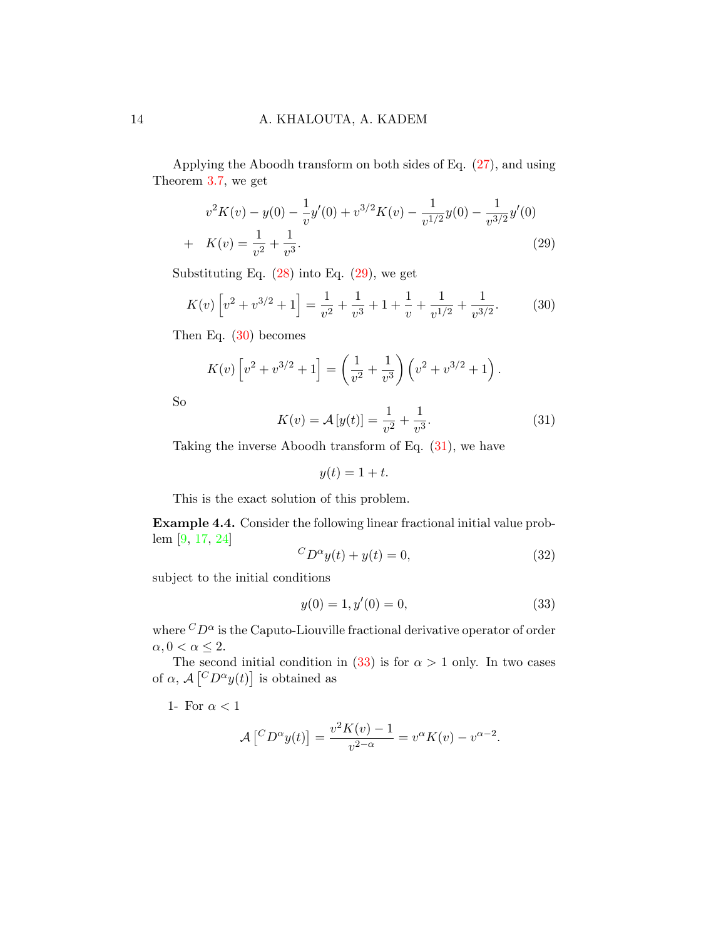Applying the Aboodh transform on both sides of Eq. [\(27\)](#page-12-1), and using Theorem [3.7,](#page-10-2) we get

<span id="page-13-0"></span>
$$
v^{2}K(v) - y(0) - \frac{1}{v}y'(0) + v^{3/2}K(v) - \frac{1}{v^{1/2}}y(0) - \frac{1}{v^{3/2}}y'(0)
$$
  
+  $K(v) = \frac{1}{v^{2}} + \frac{1}{v^{3}}.$  (29)

Substituting Eq.  $(28)$  into Eq.  $(29)$ , we get

<span id="page-13-1"></span>
$$
K(v)\left[v^2 + v^{3/2} + 1\right] = \frac{1}{v^2} + \frac{1}{v^3} + 1 + \frac{1}{v} + \frac{1}{v^{1/2}} + \frac{1}{v^{3/2}}.\tag{30}
$$

Then Eq. [\(30\)](#page-13-1) becomes

$$
K(v)\left[v^2 + v^{3/2} + 1\right] = \left(\frac{1}{v^2} + \frac{1}{v^3}\right)\left(v^2 + v^{3/2} + 1\right).
$$

So

<span id="page-13-2"></span>
$$
K(v) = \mathcal{A}[y(t)] = \frac{1}{v^2} + \frac{1}{v^3}.
$$
 (31)

Taking the inverse Aboodh transform of Eq. [\(31\)](#page-13-2), we have

$$
y(t) = 1 + t.
$$

This is the exact solution of this problem.

Example 4.4. Consider the following linear fractional initial value problem [\[9,](#page-16-4) [17,](#page-17-9) [24\]](#page-18-4)

<span id="page-13-4"></span>
$$
{}^{C}D^{\alpha}y(t) + y(t) = 0,\t\t(32)
$$

subject to the initial conditions

<span id="page-13-3"></span>
$$
y(0) = 1, y'(0) = 0,
$$
\n(33)

where  ${}^C D^{\alpha}$  is the Caputo-Liouville fractional derivative operator of order  $\alpha, 0 < \alpha \leq 2$ .

The second initial condition in [\(33\)](#page-13-3) is for  $\alpha > 1$  only. In two cases of  $\alpha$ ,  $\mathcal{A} \left[ {^C}D^{\alpha}y(t) \right]$  is obtained as

1- For  $\alpha < 1$ 

$$
\mathcal{A}\left[{}^{C}D^{\alpha}y(t)\right] = \frac{v^2K(v) - 1}{v^{2-\alpha}} = v^{\alpha}K(v) - v^{\alpha-2}.
$$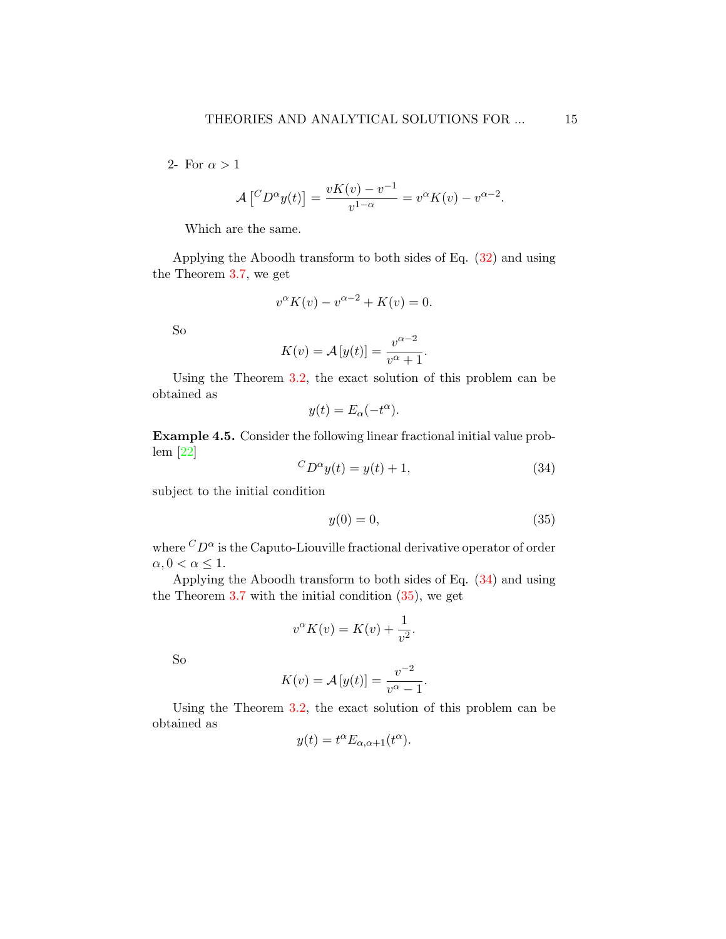2- For  $\alpha > 1$ 

$$
\mathcal{A}\left[{}^{C}D^{\alpha}y(t)\right] = \frac{vK(v) - v^{-1}}{v^{1-\alpha}} = v^{\alpha}K(v) - v^{\alpha-2}.
$$

Which are the same.

Applying the Aboodh transform to both sides of Eq. [\(32\)](#page-13-4) and using the Theorem [3.7,](#page-10-2) we get

$$
v^{\alpha}K(v) - v^{\alpha - 2} + K(v) = 0.
$$

So

$$
K(v) = \mathcal{A}[y(t)] = \frac{v^{\alpha - 2}}{v^{\alpha} + 1}.
$$

Using the Theorem [3.2,](#page-5-0) the exact solution of this problem can be obtained as

$$
y(t) = E_{\alpha}(-t^{\alpha}).
$$

Example 4.5. Consider the following linear fractional initial value problem [\[22\]](#page-18-0)  $\overline{C}$ 

<span id="page-14-0"></span>
$$
D^{\alpha}y(t) = y(t) + 1,\tag{34}
$$

subject to the initial condition

<span id="page-14-1"></span>
$$
y(0) = 0,\t\t(35)
$$

where  ${}^C D^{\alpha}$  is the Caputo-Liouville fractional derivative operator of order  $\alpha, 0 < \alpha \leq 1$ .

Applying the Aboodh transform to both sides of Eq. [\(34\)](#page-14-0) and using the Theorem  $3.7$  with the initial condition  $(35)$ , we get

$$
v^{\alpha}K(v) = K(v) + \frac{1}{v^2}.
$$

So

$$
K(v) = \mathcal{A}[y(t)] = \frac{v^{-2}}{v^{\alpha} - 1}.
$$

Using the Theorem [3.2,](#page-5-0) the exact solution of this problem can be obtained as

$$
y(t) = t^{\alpha} E_{\alpha, \alpha+1}(t^{\alpha}).
$$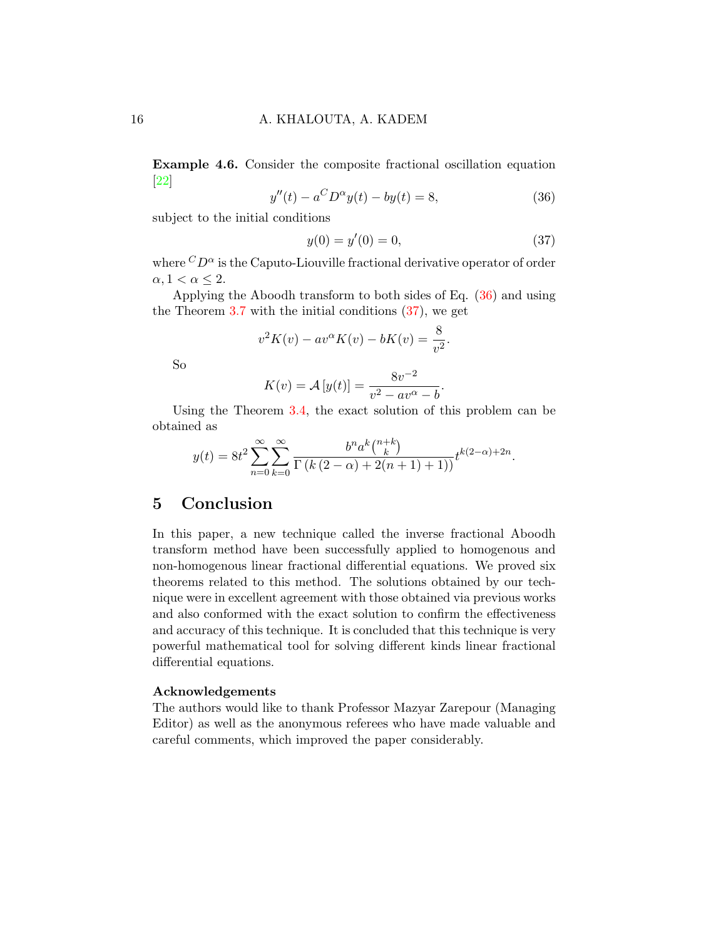Example 4.6. Consider the composite fractional oscillation equation [\[22\]](#page-18-0)

<span id="page-15-0"></span>
$$
y''(t) - a^C D^{\alpha} y(t) - by(t) = 8,
$$
\n(36)

subject to the initial conditions

<span id="page-15-1"></span>
$$
y(0) = y'(0) = 0,\t\t(37)
$$

where  ${}^C D^{\alpha}$  is the Caputo-Liouville fractional derivative operator of order  $\alpha, 1 < \alpha \leq 2$ .

Applying the Aboodh transform to both sides of Eq. [\(36\)](#page-15-0) and using the Theorem  $3.7$  with the initial conditions  $(37)$ , we get

$$
v^{2}K(v) - av^{\alpha}K(v) - bK(v) = \frac{8}{v^{2}}.
$$

So

$$
K(v) = \mathcal{A}[y(t)] = \frac{8v^{-2}}{v^2 - av^{\alpha} - b}.
$$

Using the Theorem [3.4,](#page-7-0) the exact solution of this problem can be obtained as

$$
y(t) = 8t^{2} \sum_{n=0}^{\infty} \sum_{k=0}^{\infty} \frac{b^{n} a^{k} {n+k \choose k}}{\Gamma(k(2-\alpha) + 2(n+1) + 1)} t^{k(2-\alpha)+2n}.
$$

## 5 Conclusion

In this paper, a new technique called the inverse fractional Aboodh transform method have been successfully applied to homogenous and non-homogenous linear fractional differential equations. We proved six theorems related to this method. The solutions obtained by our technique were in excellent agreement with those obtained via previous works and also conformed with the exact solution to confirm the effectiveness and accuracy of this technique. It is concluded that this technique is very powerful mathematical tool for solving different kinds linear fractional differential equations.

#### Acknowledgements

The authors would like to thank Professor Mazyar Zarepour (Managing Editor) as well as the anonymous referees who have made valuable and careful comments, which improved the paper considerably.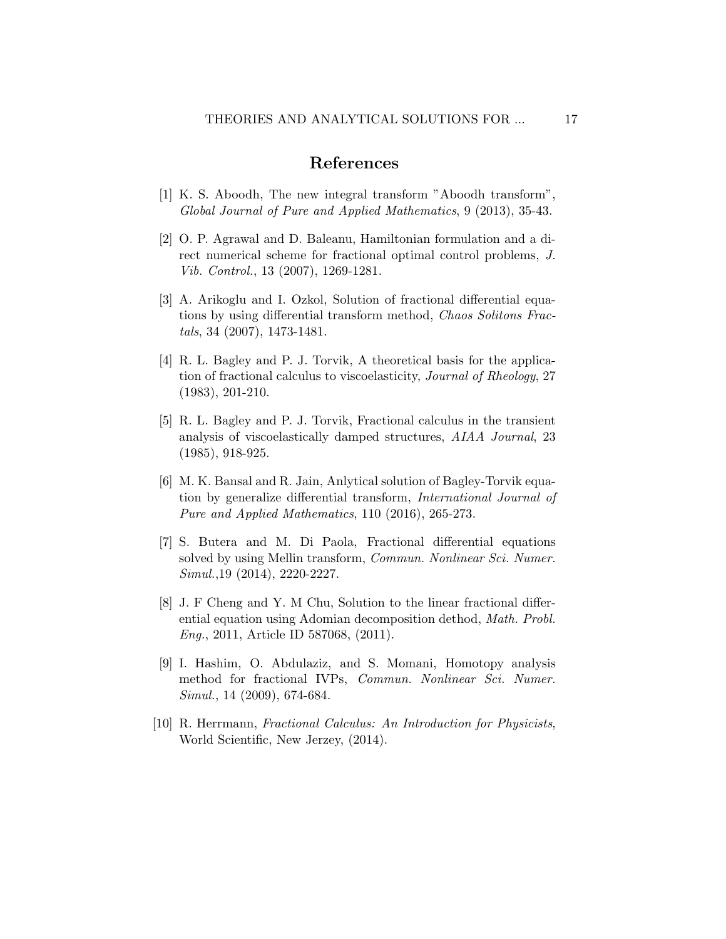## References

- <span id="page-16-8"></span>[1] K. S. Aboodh, The new integral transform "Aboodh transform", Global Journal of Pure and Applied Mathematics, 9 (2013), 35-43.
- <span id="page-16-0"></span>[2] O. P. Agrawal and D. Baleanu, Hamiltonian formulation and a direct numerical scheme for fractional optimal control problems, J. Vib. Control., 13 (2007), 1269-1281.
- <span id="page-16-3"></span>[3] A. Arikoglu and I. Ozkol, Solution of fractional differential equations by using differential transform method, Chaos Solitons Fractals, 34 (2007), 1473-1481.
- <span id="page-16-6"></span>[4] R. L. Bagley and P. J. Torvik, A theoretical basis for the application of fractional calculus to viscoelasticity, Journal of Rheology, 27 (1983), 201-210.
- <span id="page-16-7"></span>[5] R. L. Bagley and P. J. Torvik, Fractional calculus in the transient analysis of viscoelastically damped structures, AIAA Journal, 23 (1985), 918-925.
- <span id="page-16-9"></span>[6] M. K. Bansal and R. Jain, Anlytical solution of Bagley-Torvik equation by generalize differential transform, International Journal of Pure and Applied Mathematics, 110 (2016), 265-273.
- <span id="page-16-5"></span>[7] S. Butera and M. Di Paola, Fractional differential equations solved by using Mellin transform, *Commun. Nonlinear Sci. Numer.* Simul.,19 (2014), 2220-2227.
- <span id="page-16-2"></span>[8] J. F Cheng and Y. M Chu, Solution to the linear fractional differential equation using Adomian decomposition dethod, Math. Probl. Eng., 2011, Article ID 587068, (2011).
- <span id="page-16-4"></span>[9] I. Hashim, O. Abdulaziz, and S. Momani, Homotopy analysis method for fractional IVPs, Commun. Nonlinear Sci. Numer. Simul., 14 (2009), 674-684.
- <span id="page-16-1"></span>[10] R. Herrmann, Fractional Calculus: An Introduction for Physicists, World Scientific, New Jerzey, (2014).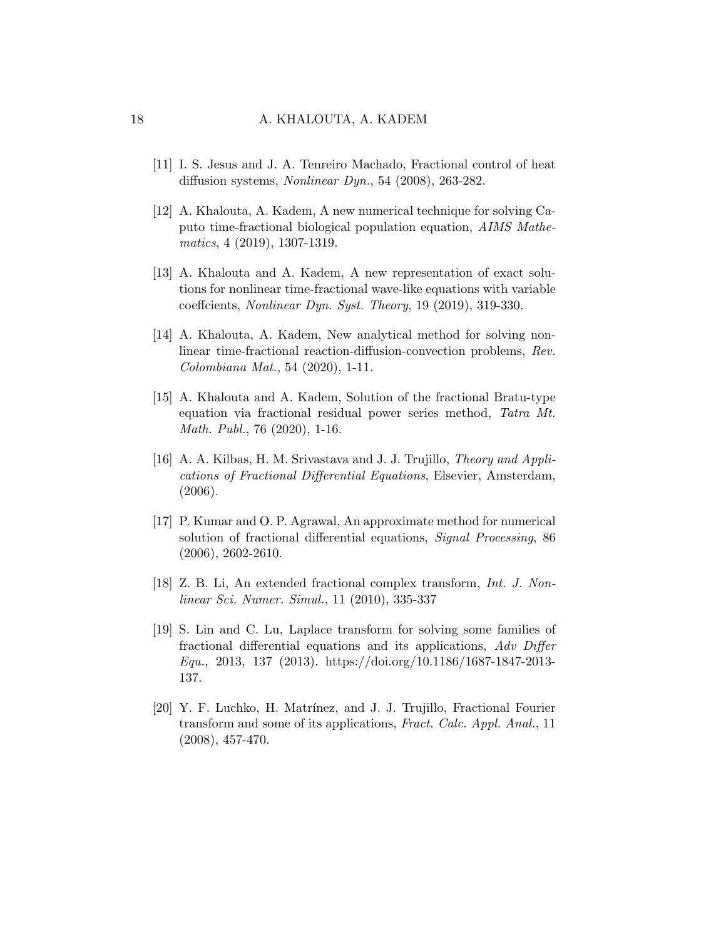- <span id="page-17-0"></span>[11] I. S. Jesus and J. A. Tenreiro Machado, Fractional control of heat diffusion systems, Nonlinear Dyn., 54 (2008), 263-282.
- <span id="page-17-1"></span>[12] A. Khalouta, A. Kadem, A new numerical technique for solving Caputo time-fractional biological population equation, AIMS Mathematics, 4 (2019), 1307-1319.
- <span id="page-17-3"></span>[13] A. Khalouta and A. Kadem, A new representation of exact solutions for nonlinear time-fractional wave-like equations with variable coeffcients, Nonlinear Dyn. Syst. Theory, 19 (2019), 319-330.
- <span id="page-17-2"></span>[14] A. Khalouta, A. Kadem, New analytical method for solving nonlinear time-fractional reaction-diffusion-convection problems, Rev. Colombiana Mat., 54 (2020), 1-11.
- <span id="page-17-4"></span>[15] A. Khalouta and A. Kadem, Solution of the fractional Bratu-type equation via fractional residual power series method, Tatra Mt. Math. Publ., 76 (2020), 1-16.
- <span id="page-17-7"></span>[16] A. A. Kilbas, H. M. Srivastava and J. J. Trujillo, Theory and Applications of Fractional Differential Equations, Elsevier, Amsterdam, (2006).
- <span id="page-17-9"></span>[17] P. Kumar and O. P. Agrawal, An approximate method for numerical solution of fractional differential equations, *Signal Processing*, 86 (2006), 2602-2610.
- <span id="page-17-8"></span>[18] Z. B. Li, An extended fractional complex transform, Int. J. Nonlinear Sci. Numer. Simul., 11 (2010), 335-337
- <span id="page-17-5"></span>[19] S. Lin and C. Lu, Laplace transform for solving some families of fractional differential equations and its applications, Adv Differ Equ., 2013, 137 (2013). https://doi.org/10.1186/1687-1847-2013- 137.
- <span id="page-17-6"></span>[20] Y. F. Luchko, H. Matr´ınez, and J. J. Trujillo, Fractional Fourier transform and some of its applications, Fract. Calc. Appl. Anal., 11 (2008), 457-470.